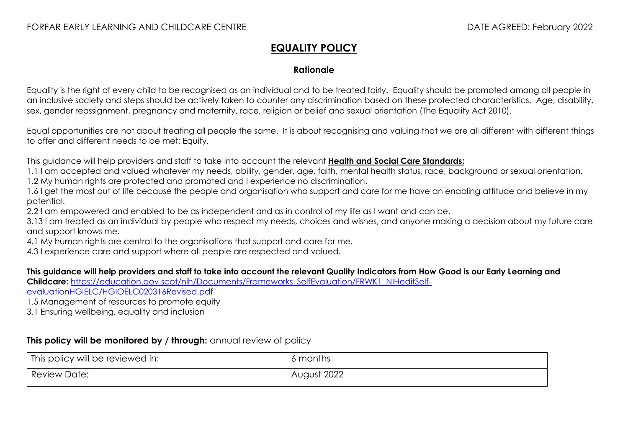## **EQUALITY POLICY**

## **Rationale**

Equality is the right of every child to be recognised as an individual and to be treated fairly. Equality should be promoted among all people in an inclusive society and steps should be actively taken to counter any discrimination based on these protected characteristics. Age, disability, sex, gender reassignment, pregnancy and maternity, race, religion or belief and sexual orientation (The Equality Act 2010).

Equal opportunities are not about treating all people the same. It is about recognising and valuing that we are all different with different things to offer and different needs to be met: Equity.

This guidance will help providers and staff to take into account the relevant **[Health and Social Care Standards:](https://www.gov.scot/binaries/content/documents/govscot/publications/advice-and-guidance/2017/06/health-social-care-standards-support-life/documents/00520693-pdf/00520693-pdf/govscot%3Adocument/00520693.pdf)**

1.1 I am accepted and valued whatever my needs, ability, gender, age, faith, mental health status, race, background or sexual orientation.

1.2 My human rights are protected and promoted and I experience no discrimination.

1.6 I get the most out of life because the people and organisation who support and care for me have an enabling attitude and believe in my potential.

2.2 I am empowered and enabled to be as independent and as in control of my life as I want and can be.

3.13 I am treated as an individual by people who respect my needs, choices and wishes, and anyone making a decision about my future care and support knows me.

4.1 My human rights are central to the organisations that support and care for me.

4.3 I experience care and support where all people are respected and valued.

## **This guidance will help providers and staff to take into account the relevant Quality Indicators from How Good is our Early Learning and**

Childcare: https://education.gov.scot/nih/Documents/Frameworks SelfEvaluation/FRWK1\_NIHeditSelf-

[evaluationHGIELC/HGIOELC020316Revised.pdf](https://education.gov.scot/nih/Documents/Frameworks_SelfEvaluation/FRWK1_NIHeditSelf-evaluationHGIELC/HGIOELC020316Revised.pdf)

1.5 Management of resources to promote equity

3.1 Ensuring wellbeing, equality and inclusion

## **This policy will be monitored by / through:** annual review of policy

| This policy will be reviewed in: | months      |
|----------------------------------|-------------|
| <b>Review Date:</b>              | August 2022 |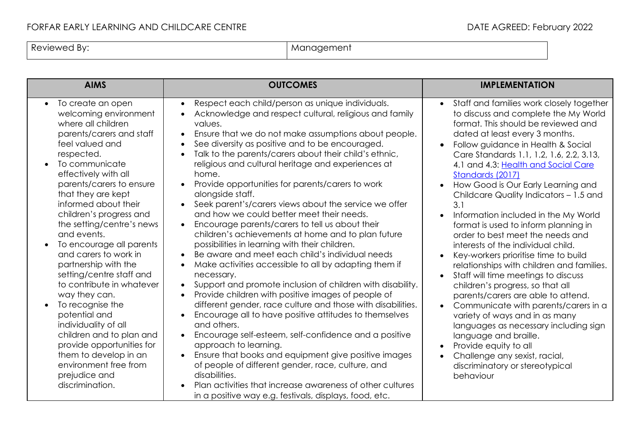| Reviewed By: | Management<br>. . |
|--------------|-------------------|
|              |                   |

| <b>AIMS</b>                                                                                                                                                                                                                                                                                                                                                                                                                                                                                                                                                                                                                                                                                              | <b>OUTCOMES</b>                                                                                                                                                                                                                                                                                                                                                                                                                                                                                                                                                                                                                                                                                                                                                                                                                                                                                                                                                                                                                                                                                                                                                                                                                                                                                                                                                                                                                                                                                                                                                                | <b>IMPLEMENTATION</b>                                                                                                                                                                                                                                                                                                                                                                                                                                                                                                                                                                                                                                                                                                                                                                                                                                                                                                                                                                                                                                                                                                                    |
|----------------------------------------------------------------------------------------------------------------------------------------------------------------------------------------------------------------------------------------------------------------------------------------------------------------------------------------------------------------------------------------------------------------------------------------------------------------------------------------------------------------------------------------------------------------------------------------------------------------------------------------------------------------------------------------------------------|--------------------------------------------------------------------------------------------------------------------------------------------------------------------------------------------------------------------------------------------------------------------------------------------------------------------------------------------------------------------------------------------------------------------------------------------------------------------------------------------------------------------------------------------------------------------------------------------------------------------------------------------------------------------------------------------------------------------------------------------------------------------------------------------------------------------------------------------------------------------------------------------------------------------------------------------------------------------------------------------------------------------------------------------------------------------------------------------------------------------------------------------------------------------------------------------------------------------------------------------------------------------------------------------------------------------------------------------------------------------------------------------------------------------------------------------------------------------------------------------------------------------------------------------------------------------------------|------------------------------------------------------------------------------------------------------------------------------------------------------------------------------------------------------------------------------------------------------------------------------------------------------------------------------------------------------------------------------------------------------------------------------------------------------------------------------------------------------------------------------------------------------------------------------------------------------------------------------------------------------------------------------------------------------------------------------------------------------------------------------------------------------------------------------------------------------------------------------------------------------------------------------------------------------------------------------------------------------------------------------------------------------------------------------------------------------------------------------------------|
| To create an open<br>$\bullet$<br>welcoming environment<br>where all children<br>parents/carers and staff<br>feel valued and<br>respected.<br>To communicate<br>effectively with all<br>parents/carers to ensure<br>that they are kept<br>informed about their<br>children's progress and<br>the setting/centre's news<br>and events.<br>To encourage all parents<br>and carers to work in<br>partnership with the<br>setting/centre staff and<br>to contribute in whatever<br>way they can.<br>To recognise the<br>potential and<br>individuality of all<br>children and to plan and<br>provide opportunities for<br>them to develop in an<br>environment free from<br>prejudice and<br>discrimination. | Respect each child/person as unique individuals.<br>$\bullet$<br>Acknowledge and respect cultural, religious and family<br>values.<br>Ensure that we do not make assumptions about people.<br>$\bullet$<br>See diversity as positive and to be encouraged.<br>$\bullet$<br>Talk to the parents/carers about their child's ethnic,<br>$\bullet$<br>religious and cultural heritage and experiences at<br>home.<br>Provide opportunities for parents/carers to work<br>alongside staff.<br>Seek parent's/carers views about the service we offer<br>$\bullet$<br>and how we could better meet their needs.<br>Encourage parents/carers to tell us about their<br>$\bullet$<br>children's achievements at home and to plan future<br>possibilities in learning with their children.<br>Be aware and meet each child's individual needs<br>$\bullet$<br>Make activities accessible to all by adapting them if<br>$\bullet$<br>necessary.<br>Support and promote inclusion of children with disability.<br>$\bullet$<br>Provide children with positive images of people of<br>$\bullet$<br>different gender, race culture and those with disabilities.<br>Encourage all to have positive attitudes to themselves<br>$\bullet$<br>and others.<br>Encourage self-esteem, self-confidence and a positive<br>approach to learning.<br>Ensure that books and equipment give positive images<br>of people of different gender, race, culture, and<br>disabilities.<br>Plan activities that increase awareness of other cultures<br>in a positive way e.g. festivals, displays, food, etc. | Staff and families work closely together<br>$\bullet$<br>to discuss and complete the My World<br>format. This should be reviewed and<br>dated at least every 3 months.<br>Follow guidance in Health & Social<br>$\bullet$<br>Care Standards 1.1, 1.2, 1.6, 2.2, 3.13,<br>4.1 and 4.3: Health and Social Care<br>Standards (2017)<br>How Good is Our Early Learning and<br>$\bullet$<br>Childcare Quality Indicators - 1.5 and<br>3.1<br>Information included in the My World<br>$\bullet$<br>format is used to inform planning in<br>order to best meet the needs and<br>interests of the individual child.<br>Key-workers prioritise time to build<br>$\bullet$<br>relationships with children and families.<br>Staff will time meetings to discuss<br>$\bullet$<br>children's progress, so that all<br>parents/carers are able to attend.<br>Communicate with parents/carers in a<br>$\bullet$<br>variety of ways and in as many<br>languages as necessary including sign<br>language and braille.<br>Provide equity to all<br>$\bullet$<br>Challenge any sexist, racial,<br>$\bullet$<br>discriminatory or stereotypical<br>behaviour |